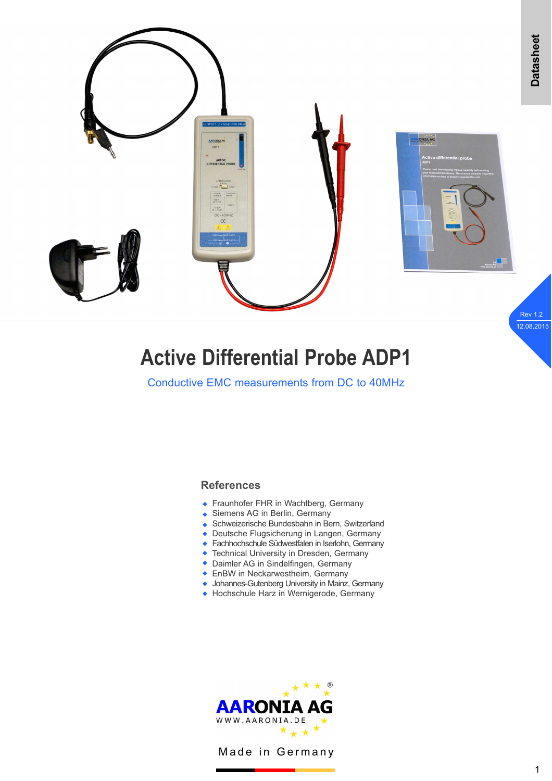

# **Active Differential Probe ADP1**

Conductive EMC measurements from DC to 40MHz

# **References**

- ◆ Fraunhofer FHR in Wachtberg, Germany
- ◆ Siemens AG in Berlin, Germany
- ◆ Schweizerische Bundesbahn in Bern, Switzerland
- ◆ Deutsche Flugsicherung in Langen, Germany
- ◆ Fachhochschule Südwestfalen in Iserlohn, Germany
- ◆ Technical University in Dresden, Germany
- ◆ Daimler AG in Sindelfingen, Germany
- **EnBW** in Neckarwestheim, Germany
- ◆ Johannes-Gutenberg University in Mainz, Germany
- ◆ Hochschule Harz in Wernigerode, Germany



Made in Germany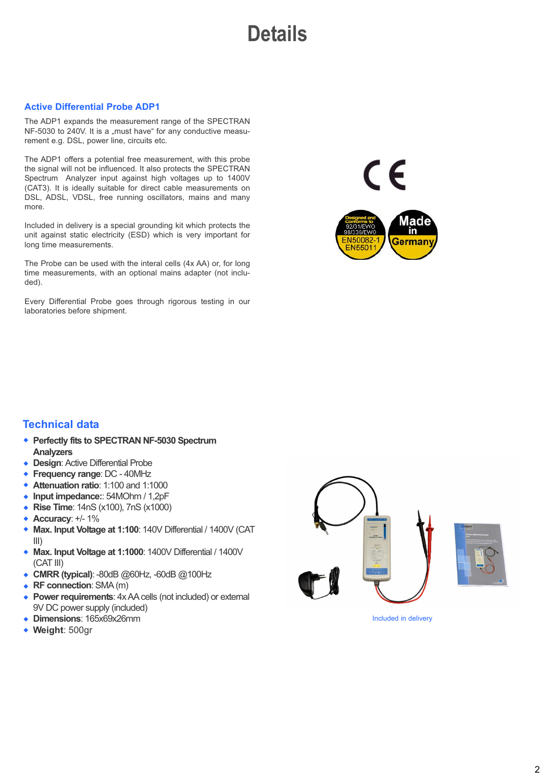**Details**

#### **Active Differential Probe ADP1**

The ADP1 expands the measurement range of the SPECTRAN NF-5030 to 240V. It is a "must have" for any conductive measurement e.g. DSL, power line, circuits etc.

The ADP1 offers a potential free measurement, with this probe the signal will not be influenced. It also protects the SPECTRAN Spectrum Analyzer input against high voltages up to 1400V (CAT3). It is ideally suitable for direct cable measurements on DSL, ADSL, VDSL, free running oscillators, mains and many more.

Included in delivery is a special grounding kit which protects the unit against static electricity (ESD) which is very important for long time measurements.

The Probe can be used with the interal cells (4x AA) or, for long time measurements, with an optional mains adapter (not included).

Every Differential Probe goes through rigorous testing in our laboratories before shipment.



 $\epsilon$ 

### **Technical data**

- ◆ Perfectly fits to SPECTRAN NF-5030 Spectrum **Analyzers**
- ◆ **Design:** Active Differential Probe
- ◆ Frequency range: DC 40MHz
- ◆ Attenuation ratio: 1:100 and 1:1000
- ◆ Input impedance:: 54MOhm / 1,2pF
- ◆ **Rise Time**: 14nS (x100), 7nS (x1000)
- ◆ **Accuracy**: +/- 1%
- ◆ Max. Input Voltage at 1:100: 140V Differential / 1400V (CAT III)
- ◆ Max. Input Voltage at 1:1000: 1400V Differential / 1400V (CAT III)
- ◆ CMRR (typical): -80dB @60Hz, -60dB @100Hz
- ◆ RF connection: SMA (m)
- **Power requirements:** 4x AA cells (not included) or external 9V DC power supply (included)  $\blacktriangle$
- **Dimensions**: 165x69x26mm w
- ◆ Weight: 500gr





Included in delivery